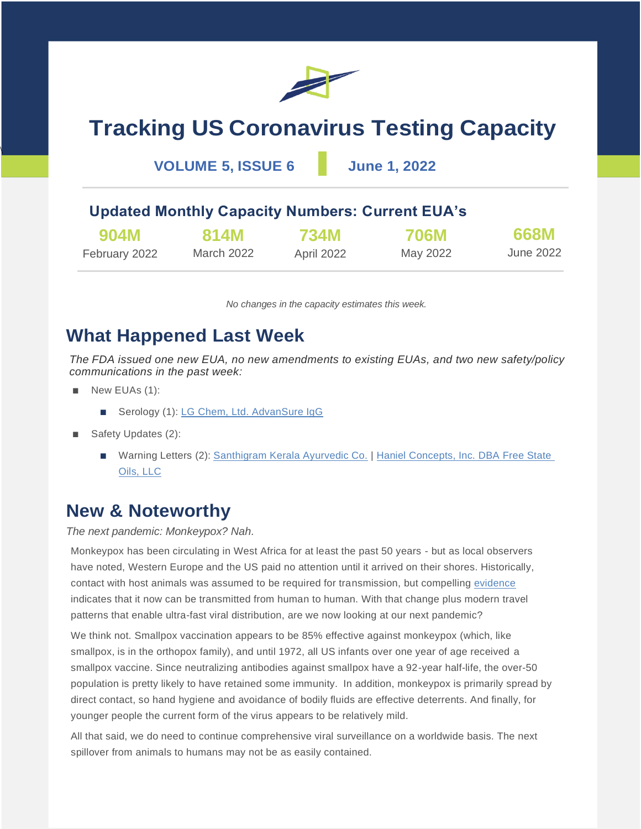

# **Tracking US Coronavirus Testing Capacity**

**VOLUME 5, ISSUE 6 June 1, 2022**

### **Updated Monthly Capacity Numbers: Current EUA's**

| 904M          | 814M       | <b>734M</b> | <b>706M</b> | 668M      |
|---------------|------------|-------------|-------------|-----------|
| February 2022 | March 2022 | April 2022  | May 2022    | June 2022 |

*No changes in the capacity estimates this week.*

### **What Happened Last Week**

*The FDA issued one new EUA, no new amendments to existing EUAs, and two new safety/policy communications in the past week:*

■ New EUAs (1):

 $\overline{\phantom{a}}$ 

- Serology (1): [LG Chem, Ltd. AdvanSure IgG](https://www.fda.gov/media/158724/download)
- Safety Updates (2):
	- Warning Letters (2): [Santhigram Kerala Ayurvedic Co.](https://www.fda.gov/inspections-compliance-enforcement-and-criminal-investigations/warning-letters/santhigram-kerala-ayurvedic-co-us-inc-625892-05192022) | Haniel Concepts, Inc. DBA Free State [Oils, LLC](https://www.fda.gov/inspections-compliance-enforcement-and-criminal-investigations/warning-letters/haniel-concepts-inc-dba-free-state-oils-llc-623510-05262022)

### **New & Noteworthy**

*The next pandemic: Monkeypox? Nah.*

Monkeypox has been circulating in West Africa for at least the past 50 years - but as local observers have noted, Western Europe and the US paid no attention until it arrived on their shores. Historically, contact with host animals was assumed to be required for transmission, but compelling [evidence](https://virological.org/t/discussion-of-on-going-mpxv-genome-sequencing/802/5) indicates that it now can be transmitted from human to human. With that change plus modern travel patterns that enable ultra-fast viral distribution, are we now looking at our next pandemic?

We think not. Smallpox vaccination appears to be 85% effective against monkeypox (which, like smallpox, is in the orthopox family), and until 1972, all US infants over one year of age received a smallpox vaccine. Since neutralizing antibodies against smallpox have a 92-year half-life, the over-50 population is pretty likely to have retained some immunity. In addition, monkeypox is primarily spread by direct contact, so hand hygiene and avoidance of bodily fluids are effective deterrents. And finally, for younger people the current form of the virus appears to be relatively mild.

All that said, we do need to continue comprehensive viral surveillance on a worldwide basis. The next spillover from animals to humans may not be as easily contained.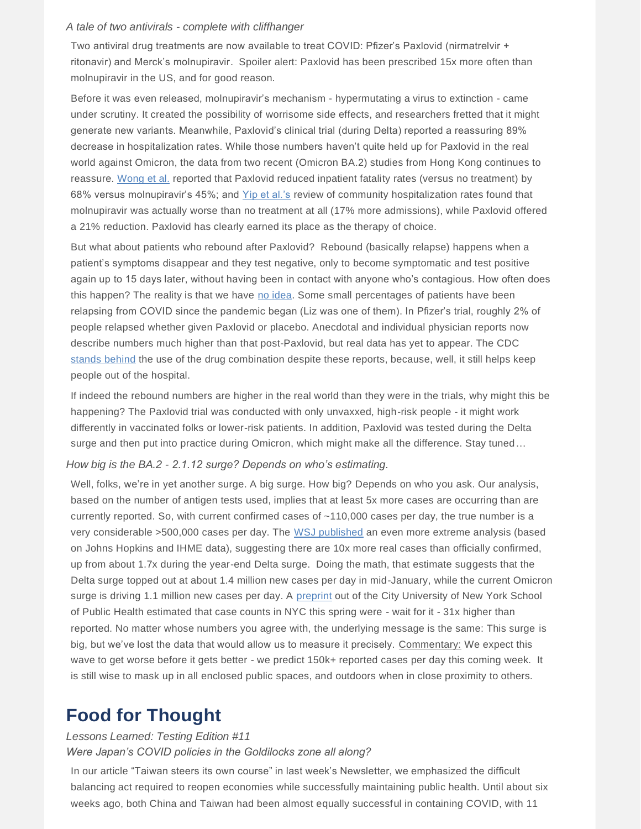#### *A tale of two antivirals - complete with cliffhanger*

Two antiviral drug treatments are now available to treat COVID: Pfizer's Paxlovid (nirmatrelvir + ritonavir) and Merck's molnupiravir. Spoiler alert: Paxlovid has been prescribed 15x more often than molnupiravir in the US, and for good reason.

Before it was even released, molnupiravir's mechanism - hypermutating a virus to extinction - came under scrutiny. It created the possibility of worrisome side effects, and researchers fretted that it might generate new variants. Meanwhile, Paxlovid's clinical trial (during Delta) reported a reassuring 89% decrease in hospitalization rates. While those numbers haven't quite held up for Paxlovid in the real world against Omicron, the data from two recent (Omicron BA.2) studies from Hong Kong continues to reassure. [Wong et al.](https://www.medrxiv.org/content/10.1101/2022.05.19.22275291v1) reported that Paxlovid reduced inpatient fatality rates (versus no treatment) by 68% versus molnupiravir's 45%; and [Yip et al.'s](https://papers.ssrn.com/sol3/papers.cfm?abstract_id=4112160) review of community hospitalization rates found that molnupiravir was actually worse than no treatment at all (17% more admissions), while Paxlovid offered a 21% reduction. Paxlovid has clearly earned its place as the therapy of choice.

But what about patients who rebound after Paxlovid? Rebound (basically relapse) happens when a patient's symptoms disappear and they test negative, only to become symptomatic and test positive again up to 15 days later, without having been in contact with anyone who's contagious. How often does this happen? The reality is that we have [no idea.](https://yourlocalepidemiologist.substack.com/p/rebounding-after-paxlovid?s=r) Some small percentages of patients have been relapsing from COVID since the pandemic began (Liz was one of them). In Pfizer's trial, roughly 2% of people relapsed whether given Paxlovid or placebo. Anecdotal and individual physician reports now describe numbers much higher than that post-Paxlovid, but real data has yet to appear. The CDC [stands behind](https://emergency.cdc.gov/han/2022/pdf/CDC_HAN_467.pdf) the use of the drug combination despite these reports, because, well, it still helps keep people out of the hospital.

If indeed the rebound numbers are higher in the real world than they were in the trials, why might this be happening? The Paxlovid trial was conducted with only unvaxxed, high-risk people - it might work differently in vaccinated folks or lower-risk patients. In addition, Paxlovid was tested during the Delta surge and then put into practice during Omicron, which might make all the difference. Stay tuned...

#### *How big is the BA.2 - 2.1.12 surge? Depends on who's estimating.*

Well, folks, we're in yet another surge. A big surge. How big? Depends on who you ask. Our analysis, based on the number of antigen tests used, implies that at least 5x more cases are occurring than are currently reported. So, with current confirmed cases of ~110,000 cases per day, the true number is a very considerable >500,000 cases per day. The [WSJ published](https://www.wsj.com/articles/why-covid-pandemics-daily-case-count-comes-up-short-in-the-u-s-11653643802?mod=Searchresults_pos2&page=1) an even more extreme analysis (based on Johns Hopkins and IHME data), suggesting there are 10x more real cases than officially confirmed, up from about 1.7x during the year-end Delta surge. Doing the math, that estimate suggests that the Delta surge topped out at about 1.4 million new cases per day in mid-January, while the current Omicron surge is driving 1.1 million new cases per day. A [preprint](https://www.medrxiv.org/content/10.1101/2022.05.25.22275603v1.article-info) out of the City University of New York School of Public Health estimated that case counts in NYC this spring were - wait for it - 31x higher than reported. No matter whose numbers you agree with, the underlying message is the same: This surge is big, but we've lost the data that would allow us to measure it precisely. Commentary: We expect this wave to get worse before it gets better - we predict 150k+ reported cases per day this coming week. It is still wise to mask up in all enclosed public spaces, and outdoors when in close proximity to others.

### **Food for Thought**

#### *Lessons Learned: Testing Edition #11*

#### *Were Japan's COVID policies in the Goldilocks zone all along?*

In our article "Taiwan steers its own course" in last week's Newsletter, we emphasized the difficult balancing act required to reopen economies while successfully maintaining public health. Until about six weeks ago, both China and Taiwan had been almost equally successful in containing COVID, with 11